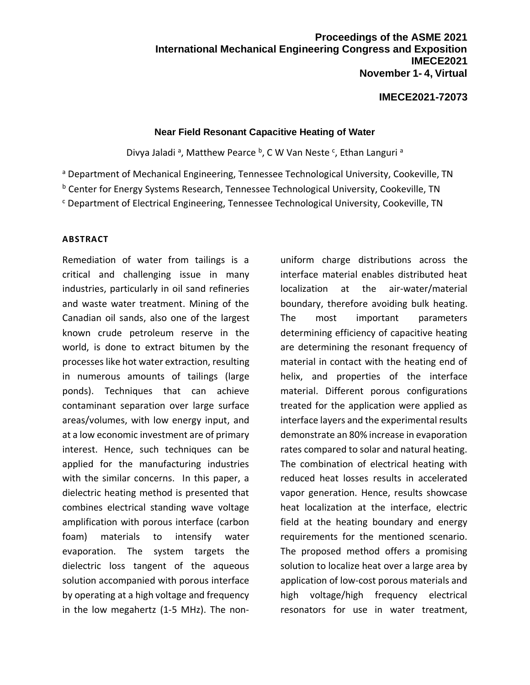### **IMECE2021-72073**

#### **Near Field Resonant Capacitive Heating of Water**

Divya Jaladi<sup>a</sup>, Matthew Pearce <sup>b</sup>, C W Van Neste <sup>c</sup>, Ethan Languri<sup>a</sup>

a Department of Mechanical Engineering, Tennessee Technological University, Cookeville, TN

b Center for Energy Systems Research, Tennessee Technological University, Cookeville, TN

<sup>c</sup> Department of Electrical Engineering, Tennessee Technological University, Cookeville, TN

#### **ABSTRACT**

Remediation of water from tailings is a critical and challenging issue in many industries, particularly in oil sand refineries and waste water treatment. Mining of the Canadian oil sands, also one of the largest known crude petroleum reserve in the world, is done to extract bitumen by the processes like hot water extraction, resulting in numerous amounts of tailings (large ponds). Techniques that can achieve contaminant separation over large surface areas/volumes, with low energy input, and at a low economic investment are of primary interest. Hence, such techniques can be applied for the manufacturing industries with the similar concerns. In this paper, a dielectric heating method is presented that combines electrical standing wave voltage amplification with porous interface (carbon foam) materials to intensify water evaporation. The system targets the dielectric loss tangent of the aqueous solution accompanied with porous interface by operating at a high voltage and frequency in the low megahertz (1-5 MHz). The nonuniform charge distributions across the interface material enables distributed heat localization at the air-water/material boundary, therefore avoiding bulk heating. The most important parameters determining efficiency of capacitive heating are determining the resonant frequency of material in contact with the heating end of helix, and properties of the interface material. Different porous configurations treated for the application were applied as interface layers and the experimental results demonstrate an 80% increase in evaporation rates compared to solar and natural heating. The combination of electrical heating with reduced heat losses results in accelerated vapor generation. Hence, results showcase heat localization at the interface, electric field at the heating boundary and energy requirements for the mentioned scenario. The proposed method offers a promising solution to localize heat over a large area by application of low-cost porous materials and high voltage/high frequency electrical resonators for use in water treatment,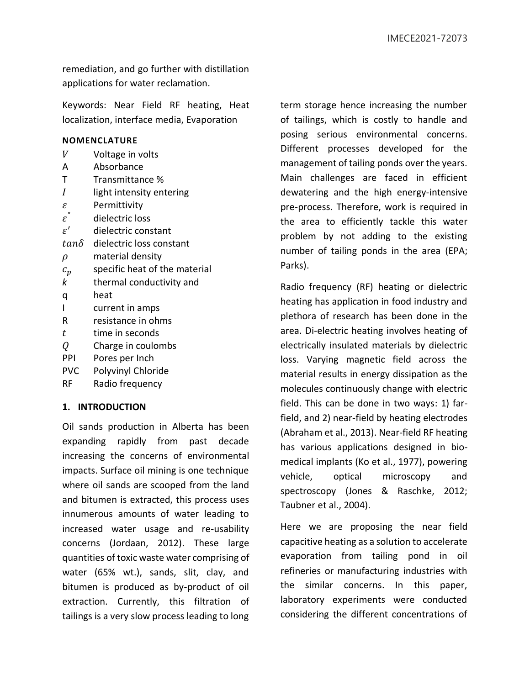remediation, and go further with distillation applications for water reclamation.

Keywords: Near Field RF heating, Heat localization, interface media, Evaporation

#### **NOMENCLATURE**

- $V$  Voltage in volts
- A Absorbance
- T Transmittance %
- $I$  light intensity entering
- $\varepsilon$  Permittivity
- $\varepsilon$ " dielectric loss
- $\varepsilon'$ ′ dielectric constant
- $tan\delta$  dielectric loss constant
- $\rho$  material density
- $c_p$  specific heat of the material
- *k* thermal conductivity and
- q heat
- I current in amps
- R resistance in ohms
- $t$  time in seconds
- $Q$  Charge in coulombs
- PPI Pores per Inch
- PVC Polyvinyl Chloride
- RF Radio frequency

## **1. INTRODUCTION**

Oil sands production in Alberta has been expanding rapidly from past decade increasing the concerns of environmental impacts. Surface oil mining is one technique where oil sands are scooped from the land and bitumen is extracted, this process uses innumerous amounts of water leading to increased water usage and re-usability concerns (Jordaan, 2012). These large quantities of toxic waste water comprising of water (65% wt.), sands, slit, clay, and bitumen is produced as by-product of oil extraction. Currently, this filtration of tailings is a very slow process leading to long

term storage hence increasing the number of tailings, which is costly to handle and posing serious environmental concerns. Different processes developed for the management of tailing ponds over the years. Main challenges are faced in efficient dewatering and the high energy-intensive pre-process. Therefore, work is required in the area to efficiently tackle this water problem by not adding to the existing number of tailing ponds in the area (EPA; Parks).

Radio frequency (RF) heating or dielectric heating has application in food industry and plethora of research has been done in the area. Di-electric heating involves heating of electrically insulated materials by dielectric loss. Varying magnetic field across the material results in energy dissipation as the molecules continuously change with electric field. This can be done in two ways: 1) farfield, and 2) near-field by heating electrodes (Abraham et al., 2013). Near-field RF heating has various applications designed in biomedical implants (Ko et al., 1977), powering vehicle, optical microscopy and spectroscopy (Jones & Raschke, 2012; Taubner et al., 2004).

Here we are proposing the near field capacitive heating as a solution to accelerate evaporation from tailing pond in oil refineries or manufacturing industries with the similar concerns. In this paper, laboratory experiments were conducted considering the different concentrations of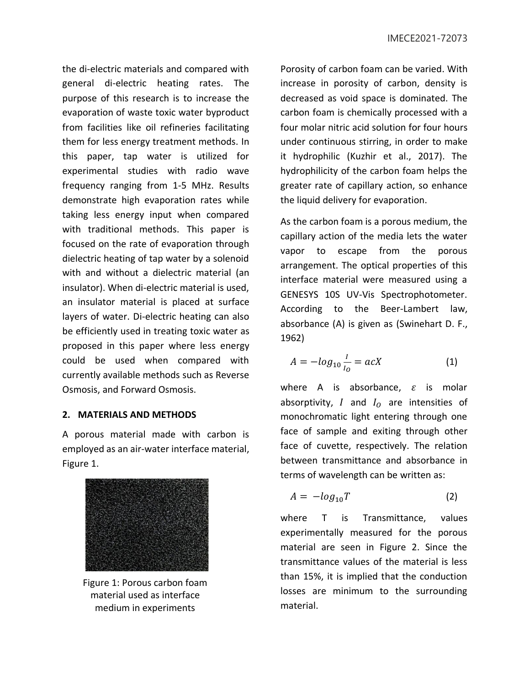the di-electric materials and compared with general di-electric heating rates. The purpose of this research is to increase the evaporation of waste toxic water byproduct from facilities like oil refineries facilitating them for less energy treatment methods. In this paper, tap water is utilized for experimental studies with radio wave frequency ranging from 1-5 MHz. Results demonstrate high evaporation rates while taking less energy input when compared with traditional methods. This paper is focused on the rate of evaporation through dielectric heating of tap water by a solenoid with and without a dielectric material (an insulator). When di-electric material is used, an insulator material is placed at surface layers of water. Di-electric heating can also be efficiently used in treating toxic water as proposed in this paper where less energy could be used when compared with currently available methods such as Reverse Osmosis, and Forward Osmosis.

#### **2. MATERIALS AND METHODS**

A porous material made with carbon is employed as an air-water interface material, Figure 1.



Figure 1: Porous carbon foam material used as interface medium in experiments

Porosity of carbon foam can be varied. With increase in porosity of carbon, density is decreased as void space is dominated. The carbon foam is chemically processed with a four molar nitric acid solution for four hours under continuous stirring, in order to make it hydrophilic (Kuzhir et al., 2017). The hydrophilicity of the carbon foam helps the greater rate of capillary action, so enhance the liquid delivery for evaporation.

As the carbon foam is a porous medium, the capillary action of the media lets the water vapor to escape from the porous arrangement. The optical properties of this interface material were measured using a GENESYS 10S UV-Vis Spectrophotometer. According to the Beer-Lambert law, absorbance (A) is given as (Swinehart D. F., 1962)

$$
A = -\log_{10} \frac{I}{I_0} = acX \tag{1}
$$

where A is absorbance,  $\varepsilon$  is molar absorptivity,  $I$  and  $I_0$  are intensities of monochromatic light entering through one face of sample and exiting through other face of cuvette, respectively. The relation between transmittance and absorbance in terms of wavelength can be written as:

$$
A = -log_{10}T \tag{2}
$$

where T is Transmittance, values experimentally measured for the porous material are seen in Figure 2. Since the transmittance values of the material is less than 15%, it is implied that the conduction losses are minimum to the surrounding material.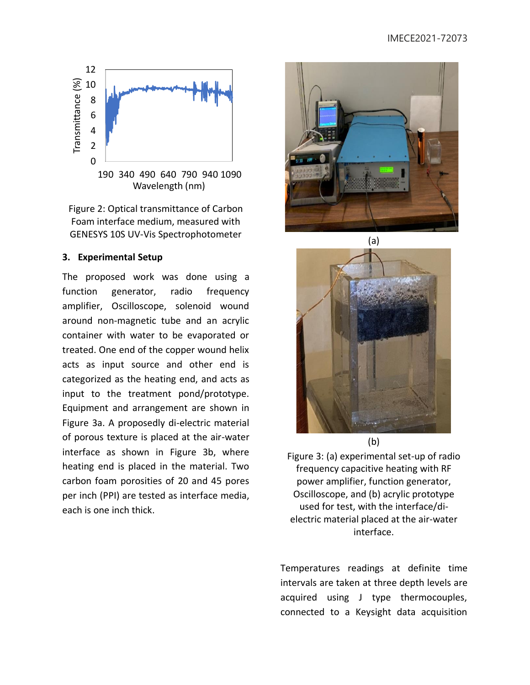

Figure 2: Optical transmittance of Carbon Foam interface medium, measured with GENESYS 10S UV-Vis Spectrophotometer

### **3. Experimental Setup**

The proposed work was done using a function generator, radio frequency amplifier, Oscilloscope, solenoid wound around non-magnetic tube and an acrylic container with water to be evaporated or treated. One end of the copper wound helix acts as input source and other end is categorized as the heating end, and acts as input to the treatment pond/prototype. Equipment and arrangement are shown in Figure 3a. A proposedly di-electric material of porous texture is placed at the air-water interface as shown in Figure 3b, where heating end is placed in the material. Two carbon foam porosities of 20 and 45 pores per inch (PPI) are tested as interface media, each is one inch thick.







Figure 3: (a) experimental set-up of radio frequency capacitive heating with RF power amplifier, function generator, Oscilloscope, and (b) acrylic prototype used for test, with the interface/dielectric material placed at the air-water interface.

Temperatures readings at definite time intervals are taken at three depth levels are acquired using J type thermocouples, connected to a Keysight data acquisition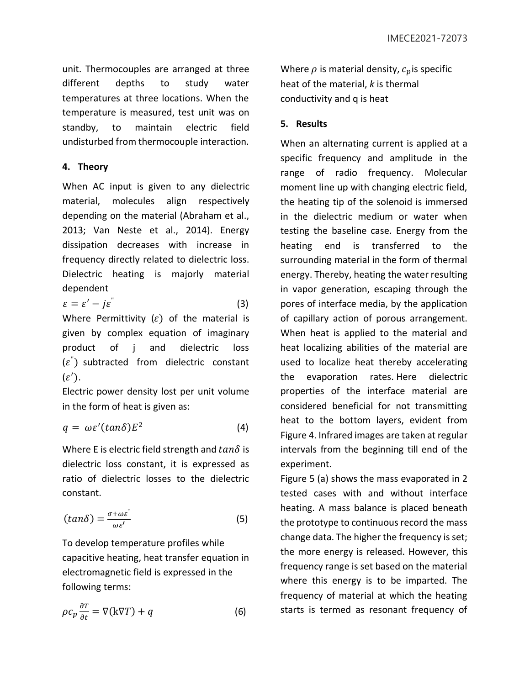unit. Thermocouples are arranged at three different depths to study water temperatures at three locations. When the temperature is measured, test unit was on standby, to maintain electric field undisturbed from thermocouple interaction.

# **4. Theory**

When AC input is given to any dielectric material, molecules align respectively depending on the material (Abraham et al., 2013; Van Neste et al., 2014). Energy dissipation decreases with increase in frequency directly related to dielectric loss. Dielectric heating is majorly material dependent

$$
\varepsilon = \varepsilon' - j\varepsilon^{n} \tag{3}
$$

Where Permittivity  $(\varepsilon)$  of the material is given by complex equation of imaginary product of j and dielectric loss  $(\varepsilon^{''})$  subtracted from dielectric constant  $(\varepsilon')$ .

Electric power density lost per unit volume in the form of heat is given as:

$$
q = \omega \varepsilon' (tan \delta) E^2 \tag{4}
$$

Where E is electric field strength and  $tan\delta$  is dielectric loss constant, it is expressed as ratio of dielectric losses to the dielectric constant.

$$
(tan\delta) = \frac{\sigma + \omega \varepsilon^{n}}{\omega \varepsilon'} \tag{5}
$$

To develop temperature profiles while capacitive heating, heat transfer equation in electromagnetic field is expressed in the following terms:

$$
\rho c_p \frac{\partial T}{\partial t} = \nabla(\mathbf{k}\nabla T) + q \tag{6}
$$

Where  $\rho$  is material density,  $c_p$  is specific heat of the material, *k* is thermal conductivity and q is heat

# **5. Results**

When an alternating current is applied at a specific frequency and amplitude in the range of radio frequency. Molecular moment line up with changing electric field, the heating tip of the solenoid is immersed in the dielectric medium or water when testing the baseline case. Energy from the heating end is transferred to the surrounding material in the form of thermal energy. Thereby, heating the water resulting in vapor generation, escaping through the pores of interface media, by the application of capillary action of porous arrangement. When heat is applied to the material and heat localizing abilities of the material are used to localize heat thereby accelerating the evaporation rates. Here dielectric properties of the interface material are considered beneficial for not transmitting heat to the bottom layers, evident from Figure 4. Infrared images are taken at regular intervals from the beginning till end of the experiment.

Figure 5 (a) shows the mass evaporated in 2 tested cases with and without interface heating. A mass balance is placed beneath the prototype to continuous record the mass change data. The higher the frequency is set; the more energy is released. However, this frequency range is set based on the material where this energy is to be imparted. The frequency of material at which the heating starts is termed as resonant frequency of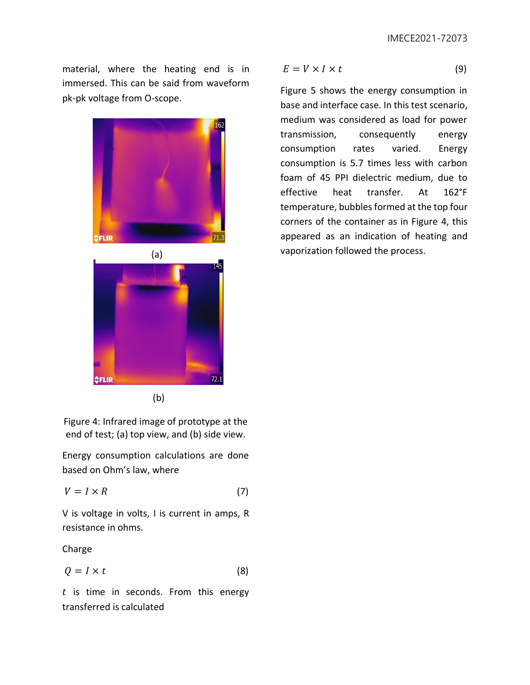material, where the heating end is in immersed. This can be said from waveform pk-pk voltage from O-scope.



(b)

Figure 4: Infrared image of prototype at the end of test; (a) top view, and (b) side view.

Energy consumption calculations are done based on Ohm's law, where

$$
V = I \times R \tag{7}
$$

V is voltage in volts, I is current in amps, R resistance in ohms.

Charge

$$
Q = I \times t \tag{8}
$$

 $t$  is time in seconds. From this energy transferred is calculated

$$
E = V \times I \times t \tag{9}
$$

Figure 5 shows the energy consumption in base and interface case. In this test scenario, medium was considered as load for power transmission, consequently energy consumption rates varied. Energy consumption is 5.7 times less with carbon foam of 45 PPI dielectric medium, due to effective heat transfer. At 162°F temperature, bubbles formed at the top four corners of the container as in Figure 4, this appeared as an indication of heating and vaporization followed the process. (a)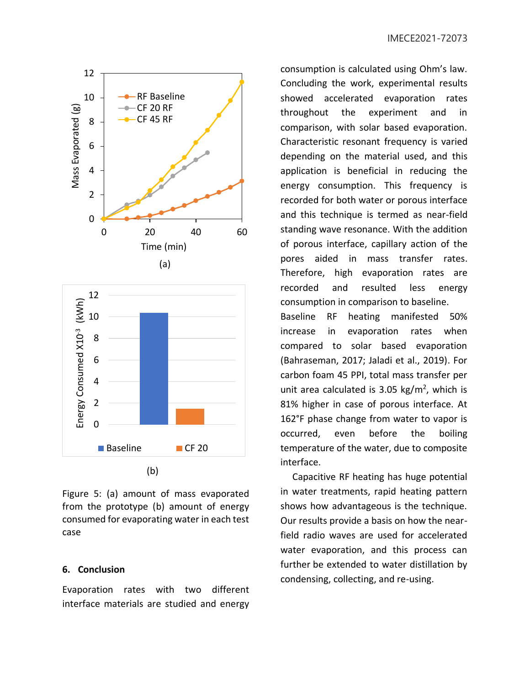

Figure 5: (a) amount of mass evaporated from the prototype (b) amount of energy consumed for evaporating water in each test case

### **6. Conclusion**

Evaporation rates with two different interface materials are studied and energy consumption is calculated using Ohm's law. Concluding the work, experimental results showed accelerated evaporation rates throughout the experiment and in comparison, with solar based evaporation. Characteristic resonant frequency is varied depending on the material used, and this application is beneficial in reducing the energy consumption. This frequency is recorded for both water or porous interface and this technique is termed as near-field standing wave resonance. With the addition of porous interface, capillary action of the pores aided in mass transfer rates. Therefore, high evaporation rates are recorded and resulted less energy consumption in comparison to baseline.

Baseline RF heating manifested 50% increase in evaporation rates when compared to solar based evaporation (Bahraseman, 2017; Jaladi et al., 2019). For carbon foam 45 PPI, total mass transfer per unit area calculated is  $3.05 \text{ kg/m}^2$ , which is 81% higher in case of porous interface. At 162°F phase change from water to vapor is occurred, even before the boiling temperature of the water, due to composite interface.

 Capacitive RF heating has huge potential in water treatments, rapid heating pattern shows how advantageous is the technique. Our results provide a basis on how the nearfield radio waves are used for accelerated water evaporation, and this process can further be extended to water distillation by condensing, collecting, and re-using.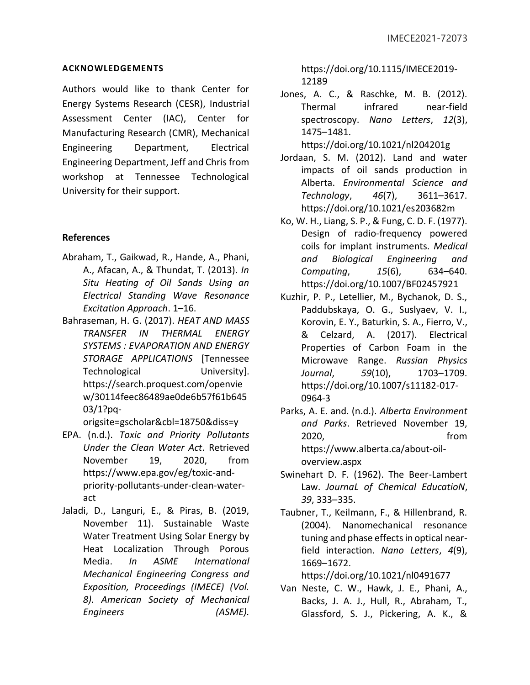### **ACKNOWLEDGEMENTS**

Authors would like to thank Center for Energy Systems Research (CESR), Industrial Assessment Center (IAC), Center for Manufacturing Research (CMR), Mechanical Engineering Department, Electrical Engineering Department, Jeff and Chris from workshop at Tennessee Technological University for their support.

## **References**

- Abraham, T., Gaikwad, R., Hande, A., Phani, A., Afacan, A., & Thundat, T. (2013). *In Situ Heating of Oil Sands Using an Electrical Standing Wave Resonance Excitation Approach*. 1–16.
- Bahraseman, H. G. (2017). *HEAT AND MASS TRANSFER IN THERMAL ENERGY SYSTEMS : EVAPORATION AND ENERGY STORAGE APPLICATIONS* [Tennessee Technological University]. https://search.proquest.com/openvie w/30114feec86489ae0de6b57f61b645 03/1?pq-

origsite=gscholar&cbl=18750&diss=y

- EPA. (n.d.). *Toxic and Priority Pollutants Under the Clean Water Act*. Retrieved November 19, 2020, from https://www.epa.gov/eg/toxic-andpriority-pollutants-under-clean-wateract
- Jaladi, D., Languri, E., & Piras, B. (2019, November 11). Sustainable Waste Water Treatment Using Solar Energy by Heat Localization Through Porous Media. *In ASME International Mechanical Engineering Congress and Exposition, Proceedings (IMECE) (Vol. 8). American Society of Mechanical Engineers (ASME).*

https://doi.org/10.1115/IMECE2019- 12189

Jones, A. C., & Raschke, M. B. (2012). Thermal infrared near-field spectroscopy. *Nano Letters*, *12*(3), 1475–1481.

https://doi.org/10.1021/nl204201g

- Jordaan, S. M. (2012). Land and water impacts of oil sands production in Alberta. *Environmental Science and Technology*, *46*(7), 3611–3617. https://doi.org/10.1021/es203682m
- Ko, W. H., Liang, S. P., & Fung, C. D. F. (1977). Design of radio-frequency powered coils for implant instruments. *Medical and Biological Engineering and Computing*, *15*(6), 634–640. https://doi.org/10.1007/BF02457921
- Kuzhir, P. P., Letellier, M., Bychanok, D. S., Paddubskaya, O. G., Suslyaev, V. I., Korovin, E. Y., Baturkin, S. A., Fierro, V., & Celzard, A. (2017). Electrical Properties of Carbon Foam in the Microwave Range. *Russian Physics Journal*, *59*(10), 1703–1709. https://doi.org/10.1007/s11182-017- 0964-3
- Parks, A. E. and. (n.d.). *Alberta Environment and Parks*. Retrieved November 19, 2020, from https://www.alberta.ca/about-oiloverview.aspx
- Swinehart D. F. (1962). The Beer-Lambert Law. *JournaL of Chemical EducatioN*, *39*, 333–335.
- Taubner, T., Keilmann, F., & Hillenbrand, R. (2004). Nanomechanical resonance tuning and phase effects in optical nearfield interaction. *Nano Letters*, *4*(9), 1669–1672.

https://doi.org/10.1021/nl0491677

Van Neste, C. W., Hawk, J. E., Phani, A., Backs, J. A. J., Hull, R., Abraham, T., Glassford, S. J., Pickering, A. K., &